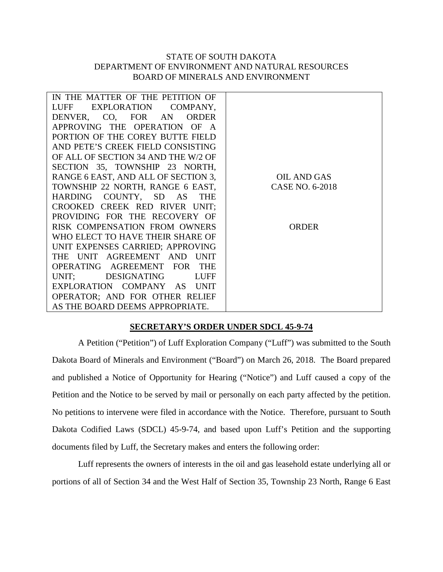## STATE OF SOUTH DAKOTA DEPARTMENT OF ENVIRONMENT AND NATURAL RESOURCES BOARD OF MINERALS AND ENVIRONMENT

| IN THE MATTER OF THE PETITION OF    |                    |
|-------------------------------------|--------------------|
| LUFF EXPLORATION COMPANY,           |                    |
| DENVER, CO, FOR AN<br><b>ORDER</b>  |                    |
| APPROVING THE OPERATION OF A        |                    |
| PORTION OF THE COREY BUTTE FIELD    |                    |
| AND PETE'S CREEK FIELD CONSISTING   |                    |
| OF ALL OF SECTION 34 AND THE W/2 OF |                    |
| SECTION 35, TOWNSHIP 23 NORTH,      |                    |
| RANGE 6 EAST, AND ALL OF SECTION 3, | <b>OIL AND GAS</b> |
| TOWNSHIP 22 NORTH, RANGE 6 EAST,    | CASE NO. 6-2018    |
| HARDING COUNTY, SD AS THE           |                    |
| CROOKED CREEK RED RIVER UNIT;       |                    |
| PROVIDING FOR THE RECOVERY OF       |                    |
| RISK COMPENSATION FROM OWNERS       | <b>ORDER</b>       |
| WHO ELECT TO HAVE THEIR SHARE OF    |                    |
| UNIT EXPENSES CARRIED; APPROVING    |                    |
| THE UNIT AGREEMENT AND UNIT         |                    |
| OPERATING AGREEMENT FOR THE         |                    |
| UNIT; DESIGNATING<br>LUFF           |                    |
| EXPLORATION COMPANY AS UNIT         |                    |
| OPERATOR; AND FOR OTHER RELIEF      |                    |
| AS THE BOARD DEEMS APPROPRIATE.     |                    |

## **SECRETARY'S ORDER UNDER SDCL 45-9-74**

A Petition ("Petition") of Luff Exploration Company ("Luff") was submitted to the South Dakota Board of Minerals and Environment ("Board") on March 26, 2018. The Board prepared and published a Notice of Opportunity for Hearing ("Notice") and Luff caused a copy of the Petition and the Notice to be served by mail or personally on each party affected by the petition. No petitions to intervene were filed in accordance with the Notice. Therefore, pursuant to South Dakota Codified Laws (SDCL) 45-9-74, and based upon Luff's Petition and the supporting documents filed by Luff, the Secretary makes and enters the following order:

Luff represents the owners of interests in the oil and gas leasehold estate underlying all or portions of all of Section 34 and the West Half of Section 35, Township 23 North, Range 6 East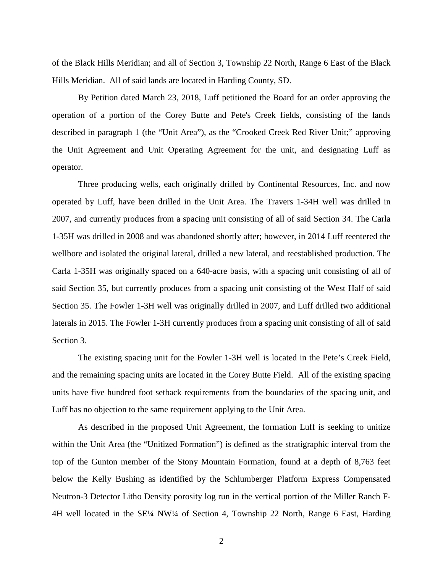of the Black Hills Meridian; and all of Section 3, Township 22 North, Range 6 East of the Black Hills Meridian. All of said lands are located in Harding County, SD.

By Petition dated March 23, 2018, Luff petitioned the Board for an order approving the operation of a portion of the Corey Butte and Pete's Creek fields, consisting of the lands described in paragraph 1 (the "Unit Area"), as the "Crooked Creek Red River Unit;" approving the Unit Agreement and Unit Operating Agreement for the unit, and designating Luff as operator.

Three producing wells, each originally drilled by Continental Resources, Inc. and now operated by Luff, have been drilled in the Unit Area. The Travers 1-34H well was drilled in 2007, and currently produces from a spacing unit consisting of all of said Section 34. The Carla 1-35H was drilled in 2008 and was abandoned shortly after; however, in 2014 Luff reentered the wellbore and isolated the original lateral, drilled a new lateral, and reestablished production. The Carla 1-35H was originally spaced on a 640-acre basis, with a spacing unit consisting of all of said Section 35, but currently produces from a spacing unit consisting of the West Half of said Section 35. The Fowler 1-3H well was originally drilled in 2007, and Luff drilled two additional laterals in 2015. The Fowler 1-3H currently produces from a spacing unit consisting of all of said Section 3.

The existing spacing unit for the Fowler 1-3H well is located in the Pete's Creek Field, and the remaining spacing units are located in the Corey Butte Field. All of the existing spacing units have five hundred foot setback requirements from the boundaries of the spacing unit, and Luff has no objection to the same requirement applying to the Unit Area.

As described in the proposed Unit Agreement, the formation Luff is seeking to unitize within the Unit Area (the "Unitized Formation") is defined as the stratigraphic interval from the top of the Gunton member of the Stony Mountain Formation, found at a depth of 8,763 feet below the Kelly Bushing as identified by the Schlumberger Platform Express Compensated Neutron-3 Detector Litho Density porosity log run in the vertical portion of the Miller Ranch F-4H well located in the SE¼ NW¼ of Section 4, Township 22 North, Range 6 East, Harding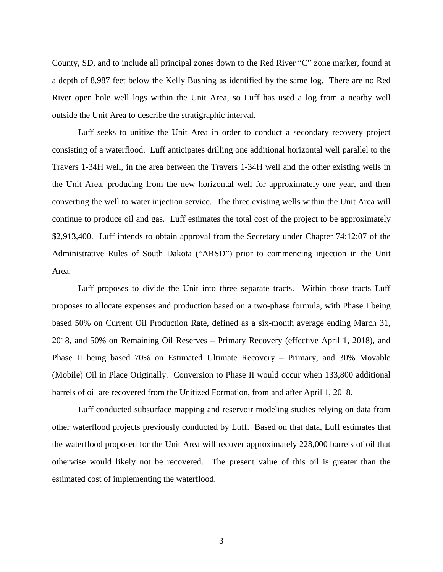County, SD, and to include all principal zones down to the Red River "C" zone marker, found at a depth of 8,987 feet below the Kelly Bushing as identified by the same log. There are no Red River open hole well logs within the Unit Area, so Luff has used a log from a nearby well outside the Unit Area to describe the stratigraphic interval.

Luff seeks to unitize the Unit Area in order to conduct a secondary recovery project consisting of a waterflood. Luff anticipates drilling one additional horizontal well parallel to the Travers 1-34H well, in the area between the Travers 1-34H well and the other existing wells in the Unit Area, producing from the new horizontal well for approximately one year, and then converting the well to water injection service. The three existing wells within the Unit Area will continue to produce oil and gas. Luff estimates the total cost of the project to be approximately \$2,913,400. Luff intends to obtain approval from the Secretary under Chapter 74:12:07 of the Administrative Rules of South Dakota ("ARSD") prior to commencing injection in the Unit Area.

Luff proposes to divide the Unit into three separate tracts. Within those tracts Luff proposes to allocate expenses and production based on a two-phase formula, with Phase I being based 50% on Current Oil Production Rate, defined as a six-month average ending March 31, 2018, and 50% on Remaining Oil Reserves – Primary Recovery (effective April 1, 2018), and Phase II being based 70% on Estimated Ultimate Recovery – Primary, and 30% Movable (Mobile) Oil in Place Originally. Conversion to Phase II would occur when 133,800 additional barrels of oil are recovered from the Unitized Formation, from and after April 1, 2018.

Luff conducted subsurface mapping and reservoir modeling studies relying on data from other waterflood projects previously conducted by Luff. Based on that data, Luff estimates that the waterflood proposed for the Unit Area will recover approximately 228,000 barrels of oil that otherwise would likely not be recovered. The present value of this oil is greater than the estimated cost of implementing the waterflood.

3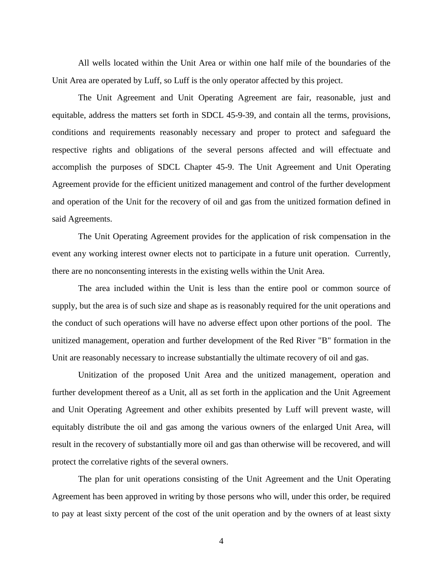All wells located within the Unit Area or within one half mile of the boundaries of the Unit Area are operated by Luff, so Luff is the only operator affected by this project.

The Unit Agreement and Unit Operating Agreement are fair, reasonable, just and equitable, address the matters set forth in SDCL 45-9-39, and contain all the terms, provisions, conditions and requirements reasonably necessary and proper to protect and safeguard the respective rights and obligations of the several persons affected and will effectuate and accomplish the purposes of SDCL Chapter 45-9. The Unit Agreement and Unit Operating Agreement provide for the efficient unitized management and control of the further development and operation of the Unit for the recovery of oil and gas from the unitized formation defined in said Agreements.

The Unit Operating Agreement provides for the application of risk compensation in the event any working interest owner elects not to participate in a future unit operation. Currently, there are no nonconsenting interests in the existing wells within the Unit Area.

The area included within the Unit is less than the entire pool or common source of supply, but the area is of such size and shape as is reasonably required for the unit operations and the conduct of such operations will have no adverse effect upon other portions of the pool. The unitized management, operation and further development of the Red River "B" formation in the Unit are reasonably necessary to increase substantially the ultimate recovery of oil and gas.

Unitization of the proposed Unit Area and the unitized management, operation and further development thereof as a Unit, all as set forth in the application and the Unit Agreement and Unit Operating Agreement and other exhibits presented by Luff will prevent waste, will equitably distribute the oil and gas among the various owners of the enlarged Unit Area, will result in the recovery of substantially more oil and gas than otherwise will be recovered, and will protect the correlative rights of the several owners.

The plan for unit operations consisting of the Unit Agreement and the Unit Operating Agreement has been approved in writing by those persons who will, under this order, be required to pay at least sixty percent of the cost of the unit operation and by the owners of at least sixty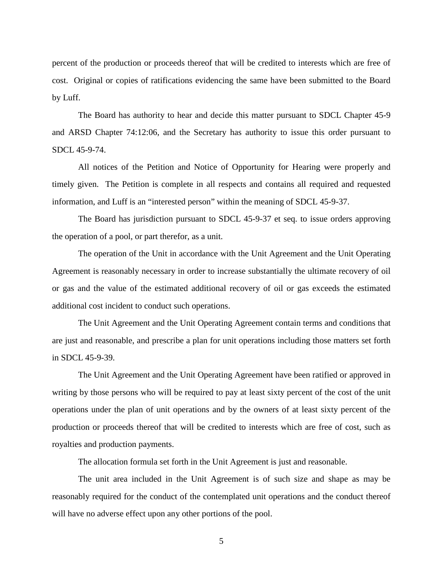percent of the production or proceeds thereof that will be credited to interests which are free of cost. Original or copies of ratifications evidencing the same have been submitted to the Board by Luff.

The Board has authority to hear and decide this matter pursuant to SDCL Chapter 45-9 and ARSD Chapter 74:12:06, and the Secretary has authority to issue this order pursuant to SDCL 45-9-74.

All notices of the Petition and Notice of Opportunity for Hearing were properly and timely given. The Petition is complete in all respects and contains all required and requested information, and Luff is an "interested person" within the meaning of SDCL 45-9-37.

The Board has jurisdiction pursuant to SDCL 45-9-37 et seq. to issue orders approving the operation of a pool, or part therefor, as a unit.

The operation of the Unit in accordance with the Unit Agreement and the Unit Operating Agreement is reasonably necessary in order to increase substantially the ultimate recovery of oil or gas and the value of the estimated additional recovery of oil or gas exceeds the estimated additional cost incident to conduct such operations.

The Unit Agreement and the Unit Operating Agreement contain terms and conditions that are just and reasonable, and prescribe a plan for unit operations including those matters set forth in SDCL 45-9-39.

The Unit Agreement and the Unit Operating Agreement have been ratified or approved in writing by those persons who will be required to pay at least sixty percent of the cost of the unit operations under the plan of unit operations and by the owners of at least sixty percent of the production or proceeds thereof that will be credited to interests which are free of cost, such as royalties and production payments.

The allocation formula set forth in the Unit Agreement is just and reasonable.

The unit area included in the Unit Agreement is of such size and shape as may be reasonably required for the conduct of the contemplated unit operations and the conduct thereof will have no adverse effect upon any other portions of the pool.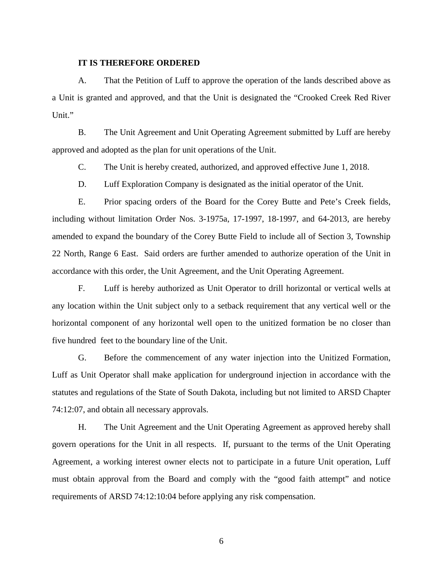## **IT IS THEREFORE ORDERED**

A. That the Petition of Luff to approve the operation of the lands described above as a Unit is granted and approved, and that the Unit is designated the "Crooked Creek Red River Unit."

B. The Unit Agreement and Unit Operating Agreement submitted by Luff are hereby approved and adopted as the plan for unit operations of the Unit.

C. The Unit is hereby created, authorized, and approved effective June 1, 2018.

D. Luff Exploration Company is designated as the initial operator of the Unit.

E. Prior spacing orders of the Board for the Corey Butte and Pete's Creek fields, including without limitation Order Nos. 3-1975a, 17-1997, 18-1997, and 64-2013, are hereby amended to expand the boundary of the Corey Butte Field to include all of Section 3, Township 22 North, Range 6 East. Said orders are further amended to authorize operation of the Unit in accordance with this order, the Unit Agreement, and the Unit Operating Agreement.

F. Luff is hereby authorized as Unit Operator to drill horizontal or vertical wells at any location within the Unit subject only to a setback requirement that any vertical well or the horizontal component of any horizontal well open to the unitized formation be no closer than five hundred feet to the boundary line of the Unit.

G. Before the commencement of any water injection into the Unitized Formation, Luff as Unit Operator shall make application for underground injection in accordance with the statutes and regulations of the State of South Dakota, including but not limited to ARSD Chapter 74:12:07, and obtain all necessary approvals.

H. The Unit Agreement and the Unit Operating Agreement as approved hereby shall govern operations for the Unit in all respects. If, pursuant to the terms of the Unit Operating Agreement, a working interest owner elects not to participate in a future Unit operation, Luff must obtain approval from the Board and comply with the "good faith attempt" and notice requirements of ARSD 74:12:10:04 before applying any risk compensation.

6